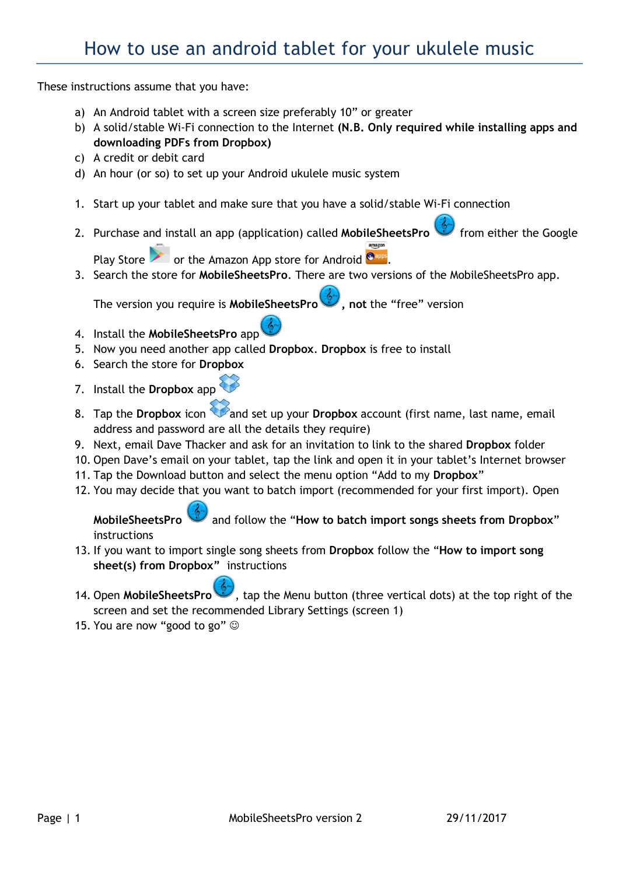These instructions assume that you have:

- a) An Android tablet with a screen size preferably 10" or greater
- b) A solid/stable Wi-Fi connection to the Internet (N.B. Only required while installing apps and downloading PDFs from Dropbox)
- c) A credit or debit card
- d) An hour (or so) to set up your Android ukulele music system
- 1. Start up your tablet and make sure that you have a solid/stable Wi-Fi connection
- 2. Purchase and install an app (application) called MobileSheetsPro from either the Google

Play Store  $\sim$  or the Amazon App store for Android  $^{\circ}$ 

3. Search the store for MobileSheetsPro. There are two versions of the MobileSheetsPro app.

The version you require is MobileSheetsPro (1.1.1.1), not the "free" version

- 4. Install the MobileSheetsPro app
- 5. Now you need another app called Dropbox. Dropbox is free to install
- 6. Search the store for Dropbox
- 7. Install the Dropbox app
- 8. Tap the Dropbox icon and set up your Dropbox account (first name, last name, email address and password are all the details they require)
- 9. Next, email Dave Thacker and ask for an invitation to link to the shared Dropbox folder
- 10. Open Dave's email on your tablet, tap the link and open it in your tablet's Internet browser
- 11. Tap the Download button and select the menu option "Add to my Dropbox"
- 12. You may decide that you want to batch import (recommended for your first import). Open

MobileSheetsPro and follow the "How to batch import songs sheets from Dropbox" instructions

- 13. If you want to import single song sheets from Dropbox follow the "How to import song sheet(s) from Dropbox" instructions
- 14. Open MobileSheetsPro , tap the Menu button (three vertical dots) at the top right of the screen and set the recommended Library Settings (screen 1)
- 15. You are now "good to go"  $\odot$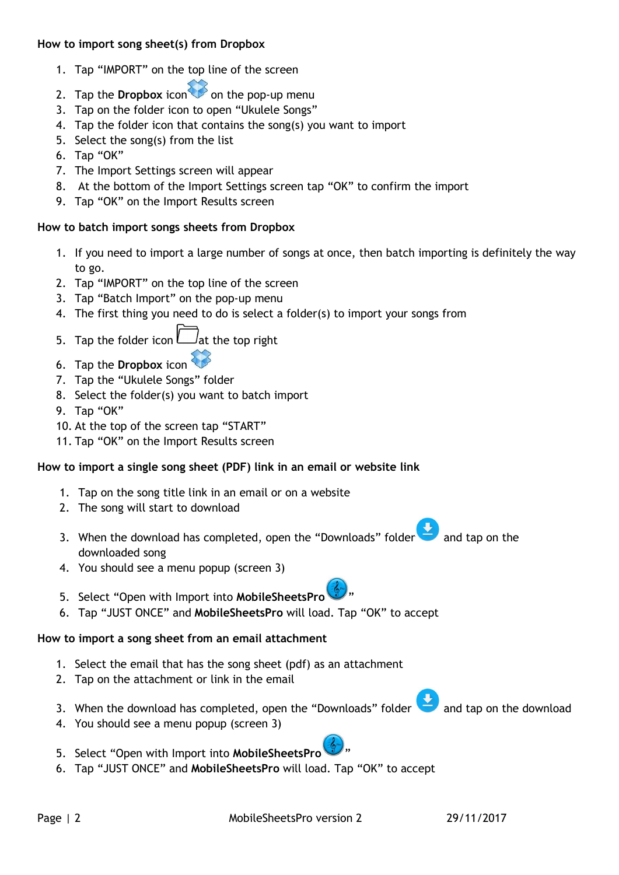#### How to import song sheet(s) from Dropbox

- 1. Tap "IMPORT" on the top line of the screen
- 2. Tap the **Dropbox** icon  $\bullet$  on the pop-up menu
- 3. Tap on the folder icon to open "Ukulele Songs"
- 4. Tap the folder icon that contains the song(s) you want to import
- 5. Select the song(s) from the list
- 6. Tap "OK"
- 7. The Import Settings screen will appear
- 8. At the bottom of the Import Settings screen tap "OK" to confirm the import
- 9. Tap "OK" on the Import Results screen

# How to batch import songs sheets from Dropbox

- 1. If you need to import a large number of songs at once, then batch importing is definitely the way to go.
- 2. Tap "IMPORT" on the top line of the screen
- 3. Tap "Batch Import" on the pop-up menu
- 4. The first thing you need to do is select a folder(s) to import your songs from
- 5. Tap the folder icon  $L_{\text{at}}$  the top right
- 6. Tap the Dropbox icon
- 7. Tap the "Ukulele Songs" folder
- 8. Select the folder(s) you want to batch import
- 9. Tap "OK"
- 10. At the top of the screen tap "START"
- 11. Tap "OK" on the Import Results screen

# How to import a single song sheet (PDF) link in an email or website link

- 1. Tap on the song title link in an email or on a website
- 2. The song will start to download
- 3. When the download has completed, open the "Downloads" folder  $\blacksquare$  and tap on the downloaded song
- 4. You should see a menu popup (screen 3)
- 5. Select "Open with Import into MobileSheetsPro
- 6. Tap "JUST ONCE" and MobileSheetsPro will load. Tap "OK" to accept

# How to import a song sheet from an email attachment

- 1. Select the email that has the song sheet (pdf) as an attachment
- 2. Tap on the attachment or link in the email
- 3. When the download has completed, open the "Downloads" folder and tap on the download
- 4. You should see a menu popup (screen 3)
- 5. Select "Open with Import into MobileSheetsPro
- 6. Tap "JUST ONCE" and MobileSheetsPro will load. Tap "OK" to accept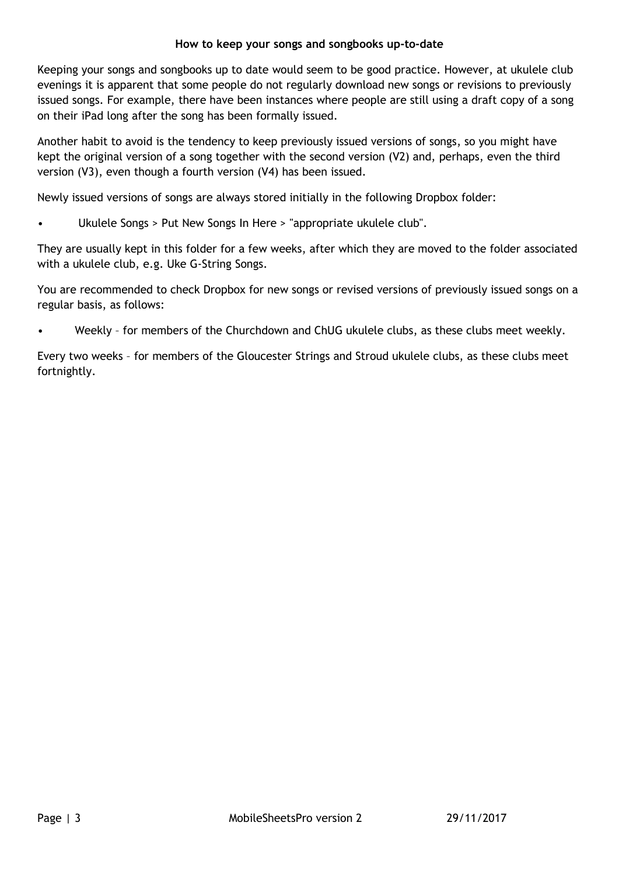#### How to keep your songs and songbooks up-to-date

Keeping your songs and songbooks up to date would seem to be good practice. However, at ukulele club evenings it is apparent that some people do not regularly download new songs or revisions to previously issued songs. For example, there have been instances where people are still using a draft copy of a song on their iPad long after the song has been formally issued.

Another habit to avoid is the tendency to keep previously issued versions of songs, so you might have kept the original version of a song together with the second version (V2) and, perhaps, even the third version (V3), even though a fourth version (V4) has been issued.

Newly issued versions of songs are always stored initially in the following Dropbox folder:

• Ukulele Songs > Put New Songs In Here > "appropriate ukulele club".

They are usually kept in this folder for a few weeks, after which they are moved to the folder associated with a ukulele club, e.g. Uke G-String Songs.

You are recommended to check Dropbox for new songs or revised versions of previously issued songs on a regular basis, as follows:

Weekly - for members of the Churchdown and ChUG ukulele clubs, as these clubs meet weekly.

Every two weeks – for members of the Gloucester Strings and Stroud ukulele clubs, as these clubs meet fortnightly.